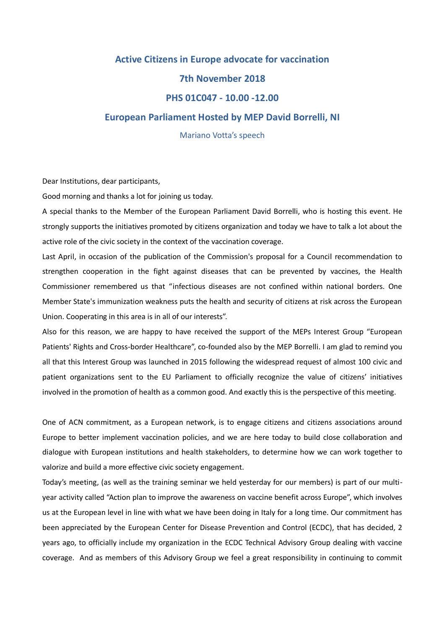## **Active Citizens in Europe advocate for vaccination 7th November 2018 PHS 01C047 - 10.00 -12.00**

## **European Parliament Hosted by MEP David Borrelli, NI**

Mariano Votta's speech

Dear Institutions, dear participants,

Good morning and thanks a lot for joining us today.

A special thanks to the Member of the European Parliament David Borrelli, who is hosting this event. He strongly supports the initiatives promoted by citizens organization and today we have to talk a lot about the active role of the civic society in the context of the vaccination coverage.

Last April, in occasion of the publication of the Commission's proposal for a Council recommendation to strengthen cooperation in the fight against diseases that can be prevented by vaccines, the Health Commissioner remembered us that "infectious diseases are not confined within national borders. One Member State's immunization weakness puts the health and security of citizens at risk across the European Union. Cooperating in this area is in all of our interests".

Also for this reason, we are happy to have received the support of the MEPs Interest Group "European Patients' Rights and Cross-border Healthcare", co-founded also by the MEP Borrelli. I am glad to remind you all that this Interest Group was launched in 2015 following the widespread request of almost 100 civic and patient organizations sent to the EU Parliament to officially recognize the value of citizens' initiatives involved in the promotion of health as a common good. And exactly this is the perspective of this meeting.

One of ACN commitment, as a European network, is to engage citizens and citizens associations around Europe to better implement vaccination policies, and we are here today to build close collaboration and dialogue with European institutions and health stakeholders, to determine how we can work together to valorize and build a more effective civic society engagement.

Today's meeting, (as well as the training seminar we held yesterday for our members) is part of our multiyear activity called "Action plan to improve the awareness on vaccine benefit across Europe", which involves us at the European level in line with what we have been doing in Italy for a long time. Our commitment has been appreciated by the European Center for Disease Prevention and Control (ECDC), that has decided, 2 years ago, to officially include my organization in the ECDC Technical Advisory Group dealing with vaccine coverage. And as members of this Advisory Group we feel a great responsibility in continuing to commit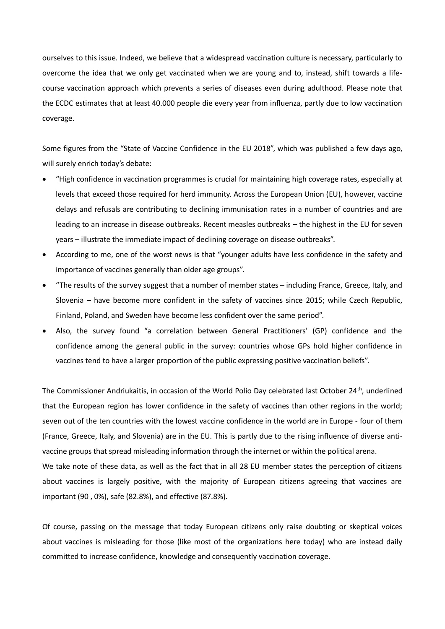ourselves to this issue. Indeed, we believe that a widespread vaccination culture is necessary, particularly to overcome the idea that we only get vaccinated when we are young and to, instead, shift towards a lifecourse vaccination approach which prevents a series of diseases even during adulthood. Please note that the ECDC estimates that at least 40.000 people die every year from influenza, partly due to low vaccination coverage.

Some figures from the "State of Vaccine Confidence in the EU 2018", which was published a few days ago, will surely enrich today's debate:

- "High confidence in vaccination programmes is crucial for maintaining high coverage rates, especially at levels that exceed those required for herd immunity. Across the European Union (EU), however, vaccine delays and refusals are contributing to declining immunisation rates in a number of countries and are leading to an increase in disease outbreaks. Recent measles outbreaks – the highest in the EU for seven years – illustrate the immediate impact of declining coverage on disease outbreaks".
- According to me, one of the worst news is that "younger adults have less confidence in the safety and importance of vaccines generally than older age groups".
- "The results of the survey suggest that a number of member states including France, Greece, Italy, and Slovenia – have become more confident in the safety of vaccines since 2015; while Czech Republic, Finland, Poland, and Sweden have become less confident over the same period".
- Also, the survey found "a correlation between General Practitioners' (GP) confidence and the confidence among the general public in the survey: countries whose GPs hold higher confidence in vaccines tend to have a larger proportion of the public expressing positive vaccination beliefs".

The Commissioner Andriukaitis, in occasion of the World Polio Day celebrated last October 24<sup>th</sup>, underlined that the European region has lower confidence in the safety of vaccines than other regions in the world; seven out of the ten countries with the lowest vaccine confidence in the world are in Europe - four of them (France, Greece, Italy, and Slovenia) are in the EU. This is partly due to the rising influence of diverse antivaccine groups that spread misleading information through the internet or within the political arena. We take note of these data, as well as the fact that in all 28 EU member states the perception of citizens about vaccines is largely positive, with the majority of European citizens agreeing that vaccines are important (90 , 0%), safe (82.8%), and effective (87.8%).

Of course, passing on the message that today European citizens only raise doubting or skeptical voices about vaccines is misleading for those (like most of the organizations here today) who are instead daily committed to increase confidence, knowledge and consequently vaccination coverage.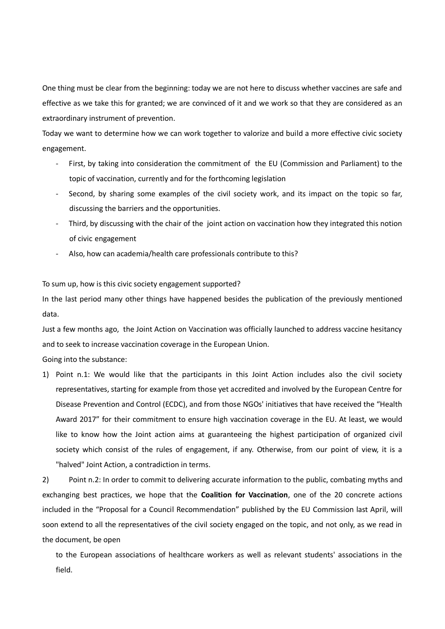One thing must be clear from the beginning: today we are not here to discuss whether vaccines are safe and effective as we take this for granted; we are convinced of it and we work so that they are considered as an extraordinary instrument of prevention.

Today we want to determine how we can work together to valorize and build a more effective civic society engagement.

- First, by taking into consideration the commitment of the EU (Commission and Parliament) to the topic of vaccination, currently and for the forthcoming legislation
- Second, by sharing some examples of the civil society work, and its impact on the topic so far, discussing the barriers and the opportunities.
- Third, by discussing with the chair of the joint action on vaccination how they integrated this notion of civic engagement
- Also, how can academia/health care professionals contribute to this?

To sum up, how is this civic society engagement supported?

In the last period many other things have happened besides the publication of the previously mentioned data.

Just a few months ago, the Joint Action on Vaccination was officially launched to address vaccine hesitancy and to seek to increase vaccination coverage in the European Union.

Going into the substance:

1) Point n.1: We would like that the participants in this Joint Action includes also the civil society representatives, starting for example from those yet accredited and involved by the European Centre for Disease Prevention and Control (ECDC), and from those NGOs' initiatives that have received the "Health Award 2017" for their commitment to ensure high vaccination coverage in the EU. At least, we would like to know how the Joint action aims at guaranteeing the highest participation of organized civil society which consist of the rules of engagement, if any. Otherwise, from our point of view, it is a "halved" Joint Action, a contradiction in terms.

2) Point n.2: In order to commit to delivering accurate information to the public, combating myths and exchanging best practices, we hope that the **Coalition for Vaccination**, one of the 20 concrete actions included in the "Proposal for a Council Recommendation" published by the EU Commission last April, will soon extend to all the representatives of the civil society engaged on the topic, and not only, as we read in the document, be open

to the European associations of healthcare workers as well as relevant students' associations in the field.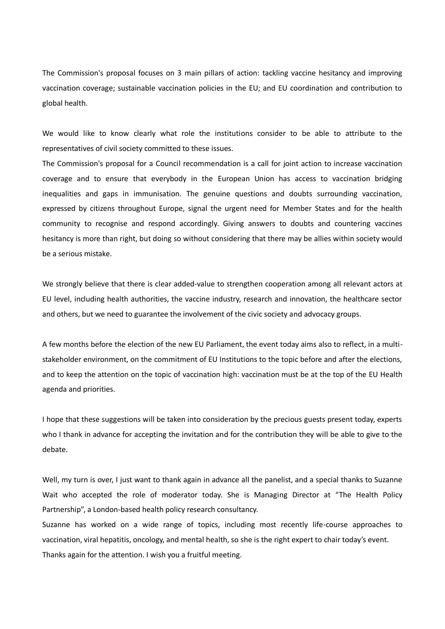The Commission's proposal focuses on 3 main pillars of action: tackling vaccine hesitancy and improving vaccination coverage; sustainable vaccination policies in the EU; and EU coordination and contribution to global health.

We would like to know clearly what role the institutions consider to be able to attribute to the representatives of civil society committed to these issues.

The Commission's proposal for a Council recommendation is a call for joint action to increase vaccination coverage and to ensure that everybody in the European Union has access to vaccination bridging inequalities and gaps in immunisation. The genuine questions and doubts surrounding vaccination, expressed by citizens throughout Europe, signal the urgent need for Member States and for the health community to recognise and respond accordingly. Giving answers to doubts and countering vaccines hesitancy is more than right, but doing so without considering that there may be allies within society would be a serious mistake.

We strongly believe that there is clear added-value to strengthen cooperation among all relevant actors at EU level, including health authorities, the vaccine industry, research and innovation, the healthcare sector and others, but we need to guarantee the involvement of the civic society and advocacy groups.

A few months before the election of the new EU Parliament, the event today aims also to reflect, in a multistakeholder environment, on the commitment of EU Institutions to the topic before and after the elections, and to keep the attention on the topic of vaccination high: vaccination must be at the top of the EU Health agenda and priorities.

I hope that these suggestions will be taken into consideration by the precious guests present today, experts who I thank in advance for accepting the invitation and for the contribution they will be able to give to the debate.

Well, my turn is over, I just want to thank again in advance all the panelist, and a special thanks to Suzanne Wait who accepted the role of moderator today. She is Managing Director at "The Health Policy Partnership", a London-based health policy research consultancy.

Suzanne has worked on a wide range of topics, including most recently life-course approaches to vaccination, viral hepatitis, oncology, and mental health, so she is the right expert to chair today's event. Thanks again for the attention. I wish you a fruitful meeting.